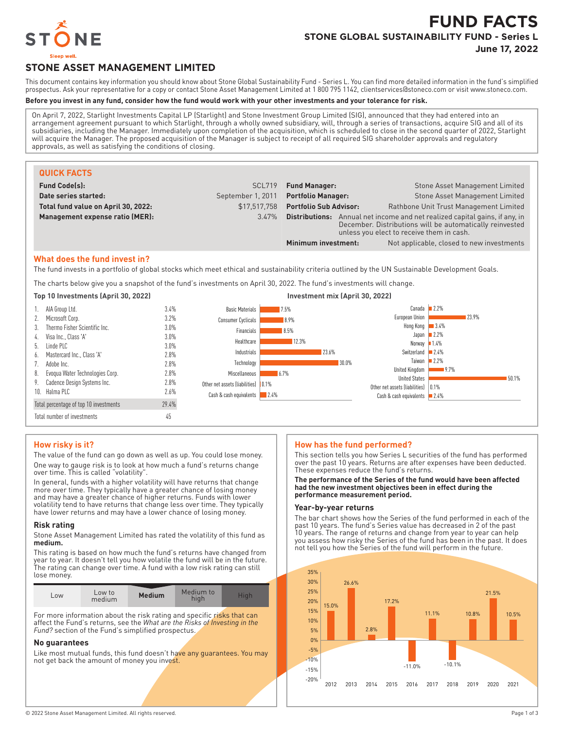

# **FUND FACTS STONE GLOBAL SUSTAINABILITY FUND - Series L**

**June 17, 2022**

## **STONE ASSET MANAGEMENT LIMITED**

This document contains key information you should know about Stone Global Sustainability Fund - Series L. You can find more detailed information in the fund's simplified prospectus. Ask your representative for a copy or contact Stone Asset Management Limited at 1 800 795 1142, clientservices@stoneco.com or visit www.stoneco.com.

## **Before you invest in any fund, consider how the fund would work with your other investments and your tolerance for risk.**

On April 7, 2022, Starlight Investments Capital LP (Starlight) and Stone Investment Group Limited (SIG), announced that they had entered into an arrangement agreement pursuant to which Starlight, through a wholly owned subsidiary, will, through a series of transactions, acquire SIG and all of its subsidiaries, including the Manager. Immediately upon completion of the acquisition, which is scheduled to close in the second quarter of 2022, Starlight will acquire the Manager. The proposed acquisition of the Manager is subject to receipt of all required SIG shareholder approvals and regulatory approvals, as well as satisfying the conditions of closing.

| <b>QUICK FACTS</b>                  |                   |                                                                                                                                                                                             |                                           |
|-------------------------------------|-------------------|---------------------------------------------------------------------------------------------------------------------------------------------------------------------------------------------|-------------------------------------------|
| <b>Fund Code(s):</b>                | SCL719            | <b>Fund Manager:</b>                                                                                                                                                                        | Stone Asset Management Limited            |
| Date series started:                | September 1, 2011 | <b>Portfolio Manager:</b>                                                                                                                                                                   | Stone Asset Management Limited            |
| Total fund value on April 30, 2022: | \$17.517.758      | <b>Portfolio Sub Advisor:</b>                                                                                                                                                               | Rathbone Unit Trust Management Limited    |
| Management expense ratio (MER):     | $3.47\%$          | <b>Distributions:</b> Annual net income and net realized capital gains, if any, in<br>December. Distributions will be automatically reinvested<br>unless you elect to receive them in cash. |                                           |
|                                     |                   | Minimum investment:                                                                                                                                                                         | Not applicable, closed to new investments |

#### **What does the fund invest in?**

The fund invests in a portfolio of global stocks which meet ethical and sustainability criteria outlined by the UN Sustainable Development Goals.

The charts below give you a snapshot of the fund's investments on April 30, 2022. The fund's investments will change.



#### **How risky is it?**

The value of the fund can go down as well as up. You could lose money. One way to gauge risk is to look at how much a fund's returns change over time. This is called "volatility".

In general, funds with a higher volatility will have returns that change more over time. They typically have a greater chance of losing money and may have a greater chance of higher returns. Funds with lower volatility tend to have returns that change less over time. They typically have lower returns and may have a lower chance of losing money.

#### **Risk rating**

Stone Asset Management Limited has rated the volatility of this fund as **medium.**

This rating is based on how much the fund's returns have changed from year to year. It doesn't tell you how volatile the fund will be in the future. The rating can change over time. A fund with a low risk rating can still lose money.

| LOW | Low to<br>medium | <b>Medium</b> | Medium to<br>high | Hiah |
|-----|------------------|---------------|-------------------|------|
|     |                  |               |                   |      |

For more information about the risk rating and specific risks that can affect the Fund's returns, see the *What are the Risks of Investing in the Fund?* section of the Fund's simplified prospectus.

### **No guarantees**

Like most mutual funds, this fund doesn't have any guarantees. You may not get back the amount of money you invest.

#### **How has the fund performed?**

This section tells you how Series L securities of the fund has performed over the past 10 years. Returns are after expenses have been deducted. These expenses reduce the fund's returns.

#### **The performance of the Series of the fund would have been affected had the new investment objectives been in effect during the performance measurement period.**

## **Year-by-year returns**

The bar chart shows how the Series of the fund performed in each of the past 10 years. The fund's Series value has decreased in 2 of the past 10 years. The range of returns and change from year to year can help you assess how risky the Series of the fund has been in the past. It does not tell you how the Series of the fund will perform in the future.

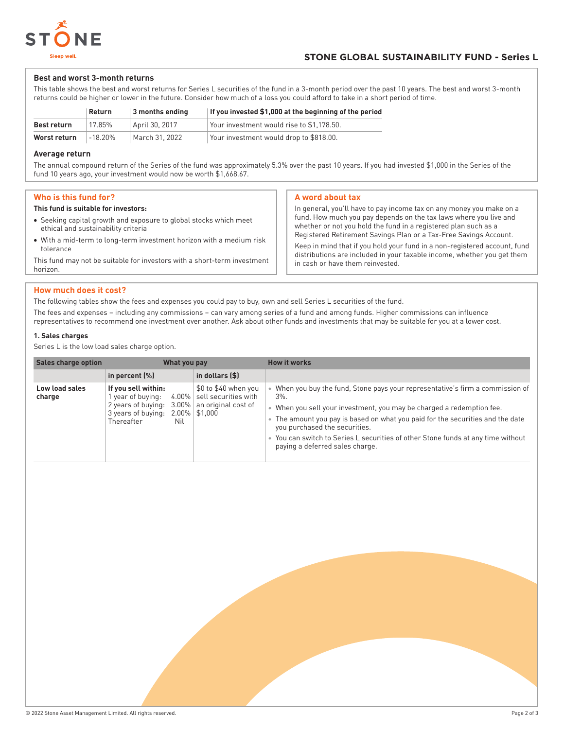

## **Best and worst 3-month returns**

This table shows the best and worst returns for Series L securities of the fund in a 3-month period over the past 10 years. The best and worst 3-month returns could be higher or lower in the future. Consider how much of a loss you could afford to take in a short period of time.

|                    | Return     | 3 months ending | If you invested \$1,000 at the beginning of the period |
|--------------------|------------|-----------------|--------------------------------------------------------|
| <b>Best return</b> | 17.85%     | April 30, 2017  | Your investment would rise to \$1.178.50.              |
| Worst return       | $-18.20\%$ | March 31, 2022  | Your investment would drop to \$818.00.                |

## **Average return**

The annual compound return of the Series of the fund was approximately 5.3% over the past 10 years. If you had invested \$1,000 in the Series of the fund 10 years ago, your investment would now be worth \$1,668.67.

## **Who is this fund for?**

### **This fund is suitable for investors:**

- Seeking capital growth and exposure to global stocks which meet ethical and sustainability criteria
- With a mid-term to long-term investment horizon with a medium risk tolerance

This fund may not be suitable for investors with a short-term investment horizon.

## **A word about tax**

In general, you'll have to pay income tax on any money you make on a fund. How much you pay depends on the tax laws where you live and whether or not you hold the fund in a registered plan such as a Registered Retirement Savings Plan or a Tax-Free Savings Account.

Keep in mind that if you hold your fund in a non-registered account, fund distributions are included in your taxable income, whether you get them in cash or have them reinvested.

## **How much does it cost?**

The following tables show the fees and expenses you could pay to buy, own and sell Series L securities of the fund.

The fees and expenses – including any commissions – can vary among series of a fund and among funds. Higher commissions can influence representatives to recommend one investment over another. Ask about other funds and investments that may be suitable for you at a lower cost.

## **1. Sales charges**

Series L is the low load sales charge option.

| Sales charge option      |                                                                                                         | What you pay                                                                                              | <b>How it works</b>                                                                                                                                                                                                                                                                                                                                                                                                   |
|--------------------------|---------------------------------------------------------------------------------------------------------|-----------------------------------------------------------------------------------------------------------|-----------------------------------------------------------------------------------------------------------------------------------------------------------------------------------------------------------------------------------------------------------------------------------------------------------------------------------------------------------------------------------------------------------------------|
|                          | in percent $(\%)$                                                                                       | in dollars (\$)                                                                                           |                                                                                                                                                                                                                                                                                                                                                                                                                       |
| Low load sales<br>charge | If you sell within:<br>year of buying:<br>2 years of buying:<br>3 years of buying:<br>Thereafter<br>Nil | \$0 to \$40 when you<br>$4.00\%$ sell securities with<br>$3.00\%$ an original cost of<br>$2.00\%$ \$1,000 | When you buy the fund, Stone pays your representative's firm a commission of<br>$3\%$ .<br>. When you sell your investment, you may be charged a redemption fee.<br>The amount you pay is based on what you paid for the securities and the date<br>$\bullet$<br>you purchased the securities.<br>• You can switch to Series L securities of other Stone funds at any time without<br>paying a deferred sales charge. |